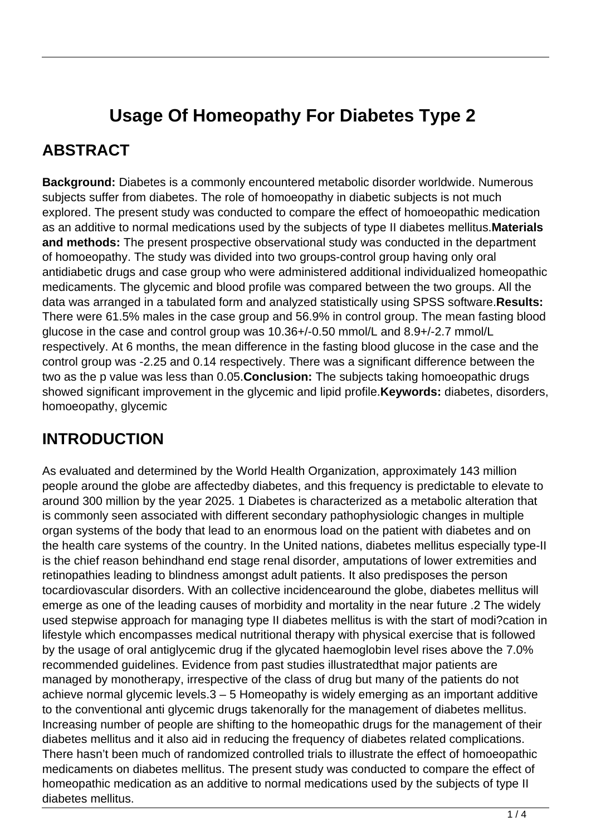# **Usage Of Homeopathy For Diabetes Type 2**

### **ABSTRACT**

**Background:** Diabetes is a commonly encountered metabolic disorder worldwide. Numerous subjects suffer from diabetes. The role of homoeopathy in diabetic subjects is not much explored. The present study was conducted to compare the effect of homoeopathic medication as an additive to normal medications used by the subjects of type II diabetes mellitus.**Materials and methods:** The present prospective observational study was conducted in the department of homoeopathy. The study was divided into two groups-control group having only oral antidiabetic drugs and case group who were administered additional individualized homeopathic medicaments. The glycemic and blood profile was compared between the two groups. All the data was arranged in a tabulated form and analyzed statistically using SPSS software.**Results:** There were 61.5% males in the case group and 56.9% in control group. The mean fasting blood glucose in the case and control group was 10.36+/-0.50 mmol/L and 8.9+/-2.7 mmol/L respectively. At 6 months, the mean difference in the fasting blood glucose in the case and the control group was -2.25 and 0.14 respectively. There was a significant difference between the two as the p value was less than 0.05.**Conclusion:** The subjects taking homoeopathic drugs showed significant improvement in the glycemic and lipid profile.**Keywords:** diabetes, disorders, homoeopathy, glycemic

### **INTRODUCTION**

As evaluated and determined by the World Health Organization, approximately 143 million people around the globe are affectedby diabetes, and this frequency is predictable to elevate to around 300 million by the year 2025. 1 Diabetes is characterized as a metabolic alteration that is commonly seen associated with different secondary pathophysiologic changes in multiple organ systems of the body that lead to an enormous load on the patient with diabetes and on the health care systems of the country. In the United nations, diabetes mellitus especially type-II is the chief reason behindhand end stage renal disorder, amputations of lower extremities and retinopathies leading to blindness amongst adult patients. It also predisposes the person tocardiovascular disorders. With an collective incidencearound the globe, diabetes mellitus will emerge as one of the leading causes of morbidity and mortality in the near future .2 The widely used stepwise approach for managing type II diabetes mellitus is with the start of modi?cation in lifestyle which encompasses medical nutritional therapy with physical exercise that is followed by the usage of oral antiglycemic drug if the glycated haemoglobin level rises above the 7.0% recommended guidelines. Evidence from past studies illustratedthat major patients are managed by monotherapy, irrespective of the class of drug but many of the patients do not achieve normal glycemic levels.3 – 5 Homeopathy is widely emerging as an important additive to the conventional anti glycemic drugs takenorally for the management of diabetes mellitus. Increasing number of people are shifting to the homeopathic drugs for the management of their diabetes mellitus and it also aid in reducing the frequency of diabetes related complications. There hasn't been much of randomized controlled trials to illustrate the effect of homoeopathic medicaments on diabetes mellitus. The present study was conducted to compare the effect of homeopathic medication as an additive to normal medications used by the subjects of type II diabetes mellitus.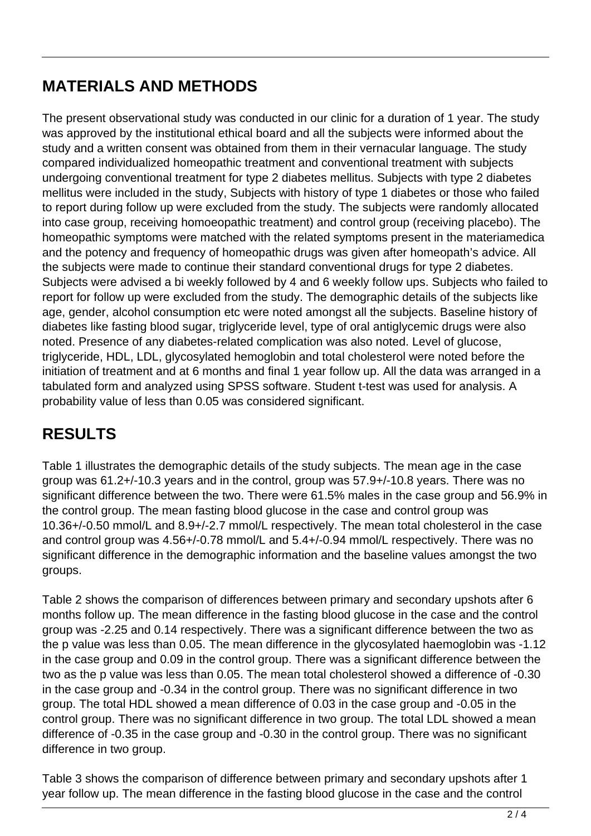## **MATERIALS AND METHODS**

The present observational study was conducted in our clinic for a duration of 1 year. The study was approved by the institutional ethical board and all the subjects were informed about the study and a written consent was obtained from them in their vernacular language. The study compared individualized homeopathic treatment and conventional treatment with subjects undergoing conventional treatment for type 2 diabetes mellitus. Subjects with type 2 diabetes mellitus were included in the study, Subjects with history of type 1 diabetes or those who failed to report during follow up were excluded from the study. The subjects were randomly allocated into case group, receiving homoeopathic treatment) and control group (receiving placebo). The homeopathic symptoms were matched with the related symptoms present in the materiamedica and the potency and frequency of homeopathic drugs was given after homeopath's advice. All the subjects were made to continue their standard conventional drugs for type 2 diabetes. Subjects were advised a bi weekly followed by 4 and 6 weekly follow ups. Subjects who failed to report for follow up were excluded from the study. The demographic details of the subjects like age, gender, alcohol consumption etc were noted amongst all the subjects. Baseline history of diabetes like fasting blood sugar, triglyceride level, type of oral antiglycemic drugs were also noted. Presence of any diabetes-related complication was also noted. Level of glucose, triglyceride, HDL, LDL, glycosylated hemoglobin and total cholesterol were noted before the initiation of treatment and at 6 months and final 1 year follow up. All the data was arranged in a tabulated form and analyzed using SPSS software. Student t-test was used for analysis. A probability value of less than 0.05 was considered significant.

### **RESULTS**

Table 1 illustrates the demographic details of the study subjects. The mean age in the case group was 61.2+/-10.3 years and in the control, group was 57.9+/-10.8 years. There was no significant difference between the two. There were 61.5% males in the case group and 56.9% in the control group. The mean fasting blood glucose in the case and control group was 10.36+/-0.50 mmol/L and 8.9+/-2.7 mmol/L respectively. The mean total cholesterol in the case and control group was 4.56+/-0.78 mmol/L and 5.4+/-0.94 mmol/L respectively. There was no significant difference in the demographic information and the baseline values amongst the two groups.

Table 2 shows the comparison of differences between primary and secondary upshots after 6 months follow up. The mean difference in the fasting blood glucose in the case and the control group was -2.25 and 0.14 respectively. There was a significant difference between the two as the p value was less than 0.05. The mean difference in the glycosylated haemoglobin was -1.12 in the case group and 0.09 in the control group. There was a significant difference between the two as the p value was less than 0.05. The mean total cholesterol showed a difference of -0.30 in the case group and -0.34 in the control group. There was no significant difference in two group. The total HDL showed a mean difference of 0.03 in the case group and -0.05 in the control group. There was no significant difference in two group. The total LDL showed a mean difference of -0.35 in the case group and -0.30 in the control group. There was no significant difference in two group.

Table 3 shows the comparison of difference between primary and secondary upshots after 1 year follow up. The mean difference in the fasting blood glucose in the case and the control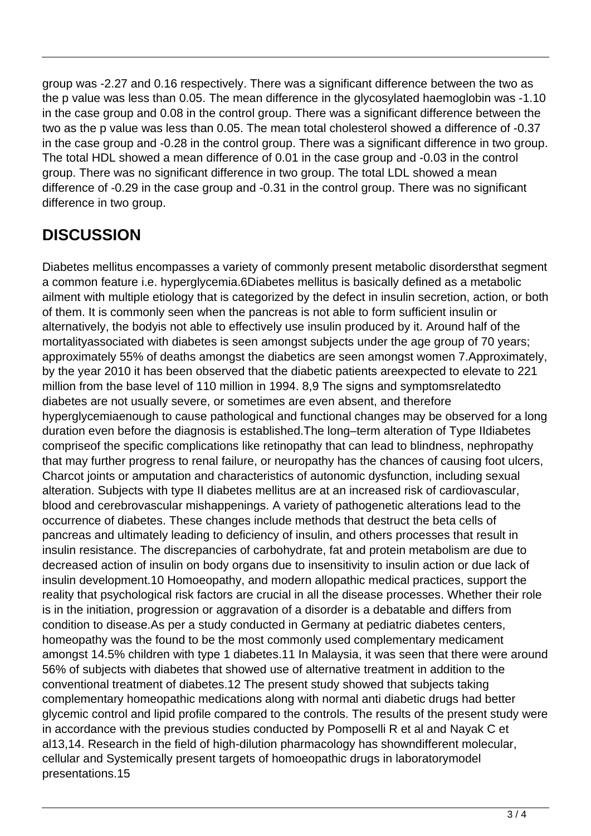group was -2.27 and 0.16 respectively. There was a significant difference between the two as the p value was less than 0.05. The mean difference in the glycosylated haemoglobin was -1.10 in the case group and 0.08 in the control group. There was a significant difference between the two as the p value was less than 0.05. The mean total cholesterol showed a difference of -0.37 in the case group and -0.28 in the control group. There was a significant difference in two group. The total HDL showed a mean difference of 0.01 in the case group and -0.03 in the control group. There was no significant difference in two group. The total LDL showed a mean difference of -0.29 in the case group and -0.31 in the control group. There was no significant difference in two group.

## **DISCUSSION**

Diabetes mellitus encompasses a variety of commonly present metabolic disordersthat segment a common feature i.e. hyperglycemia.6Diabetes mellitus is basically defined as a metabolic ailment with multiple etiology that is categorized by the defect in insulin secretion, action, or both of them. It is commonly seen when the pancreas is not able to form sufficient insulin or alternatively, the bodyis not able to effectively use insulin produced by it. Around half of the mortalityassociated with diabetes is seen amongst subjects under the age group of 70 years; approximately 55% of deaths amongst the diabetics are seen amongst women 7.Approximately, by the year 2010 it has been observed that the diabetic patients areexpected to elevate to 221 million from the base level of 110 million in 1994. 8,9 The signs and symptomsrelatedto diabetes are not usually severe, or sometimes are even absent, and therefore hyperglycemiaenough to cause pathological and functional changes may be observed for a long duration even before the diagnosis is established.The long–term alteration of Type IIdiabetes compriseof the specific complications like retinopathy that can lead to blindness, nephropathy that may further progress to renal failure, or neuropathy has the chances of causing foot ulcers, Charcot joints or amputation and characteristics of autonomic dysfunction, including sexual alteration. Subjects with type II diabetes mellitus are at an increased risk of cardiovascular, blood and cerebrovascular mishappenings. A variety of pathogenetic alterations lead to the occurrence of diabetes. These changes include methods that destruct the beta cells of pancreas and ultimately leading to deficiency of insulin, and others processes that result in insulin resistance. The discrepancies of carbohydrate, fat and protein metabolism are due to decreased action of insulin on body organs due to insensitivity to insulin action or due lack of insulin development.10 Homoeopathy, and modern allopathic medical practices, support the reality that psychological risk factors are crucial in all the disease processes. Whether their role is in the initiation, progression or aggravation of a disorder is a debatable and differs from condition to disease.As per a study conducted in Germany at pediatric diabetes centers, homeopathy was the found to be the most commonly used complementary medicament amongst 14.5% children with type 1 diabetes.11 In Malaysia, it was seen that there were around 56% of subjects with diabetes that showed use of alternative treatment in addition to the conventional treatment of diabetes.12 The present study showed that subjects taking complementary homeopathic medications along with normal anti diabetic drugs had better glycemic control and lipid profile compared to the controls. The results of the present study were in accordance with the previous studies conducted by Pomposelli R et al and Nayak C et al13,14. Research in the field of high-dilution pharmacology has showndifferent molecular, cellular and Systemically present targets of homoeopathic drugs in laboratorymodel presentations.15